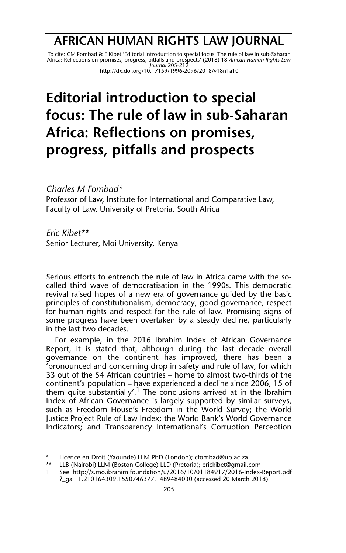## **AFRICAN HUMAN RIGHTS LAW JOURNAL**

To cite: CM Fombad & E Kibet 'Editorial introduction to special focus: The rule of law in sub-Saharan<br>Africa: Reflections on promises, progress, pitfalls and prospects' (2018) 18 *African Human Rights Law*<br>Journal 205-212 http://dx.doi.org/10.17159/1996-2096/2018/v18n1a10

## **Editorial introduction to special focus: The rule of law in sub-Saharan Africa: Reflections on promises, progress, pitfalls and prospects**

## *Charles M Fombad\**

Professor of Law, Institute for International and Comparative Law, Faculty of Law, University of Pretoria, South Africa

*Eric Kibet\*\**

Senior Lecturer, Moi University, Kenya

Serious efforts to entrench the rule of law in Africa came with the socalled third wave of democratisation in the 1990s. This democratic revival raised hopes of a new era of governance guided by the basic principles of constitutionalism, democracy, good governance, respect for human rights and respect for the rule of law. Promising signs of some progress have been overtaken by a steady decline, particularly in the last two decades.

For example, in the 2016 Ibrahim Index of African Governance Report, it is stated that, although during the last decade overall governance on the continent has improved, there has been a 'pronounced and concerning drop in safety and rule of law, for which 33 out of the 54 African countries – home to almost two-thirds of the continent's population – have experienced a decline since 2006, 15 of them quite substantially'.<sup>1</sup> The conclusions arrived at in the Ibrahim Index of African Governance is largely supported by similar surveys, such as Freedom House's Freedom in the World Survey; the World Justice Project Rule of Law Index; the World Bank's World Governance Indicators; and Transparency International's Corruption Perception

Licence-en-Droit (Yaoundé) LLM PhD (London); cfombad@up.ac.za \*

<sup>\*\*</sup> LLB (Nairobi) LLM (Boston College) LLD (Pretoria); erickibet@gmail.com

<sup>1</sup> See http://s.mo.ibrahim.foundation/u/2016/10/01184917/2016-Index-Report.pdf ?\_ga= 1.210164309.1550746377.1489484030 (accessed 20 March 2018).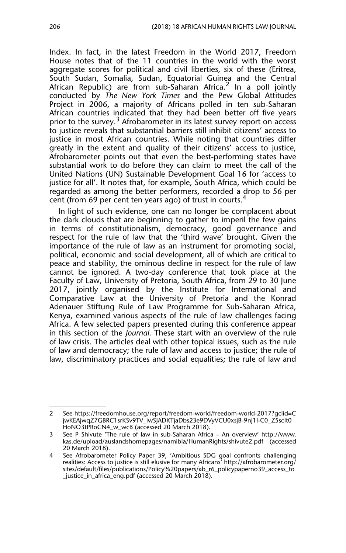Index. In fact, in the latest Freedom in the World 2017, Freedom House notes that of the 11 countries in the world with the worst aggregate scores for political and civil liberties, six of these (Eritrea, South Sudan, Somalia, Sudan, Equatorial Guinea and the Central African Republic) are from sub-Saharan Africa.<sup>2</sup> In a poll jointly conducted by *The New York Times* and the Pew Global Attitudes Project in 2006, a majority of Africans polled in ten sub-Saharan African countries indicated that they had been better off five years prior to the survey.<sup>3</sup> Afrobarometer in its latest survey report on access to justice reveals that substantial barriers still inhibit citizens' access to justice in most African countries. While noting that countries differ greatly in the extent and quality of their citizens' access to justice, Afrobarometer points out that even the best-performing states have substantial work to do before they can claim to meet the call of the United Nations (UN) Sustainable Development Goal 16 for 'access to justice for all'. It notes that, for example, South Africa, which could be regarded as among the better performers, recorded a drop to 56 per cent (from 69 per cent ten years ago) of trust in courts.<sup>4</sup>

In light of such evidence, one can no longer be complacent about the dark clouds that are beginning to gather to imperil the few gains in terms of constitutionalism, democracy, good governance and respect for the rule of law that the 'third wave' brought. Given the importance of the rule of law as an instrument for promoting social, political, economic and social development, all of which are critical to peace and stability, the ominous decline in respect for the rule of law cannot be ignored. A two-day conference that took place at the Faculty of Law, University of Pretoria, South Africa, from 29 to 30 June 2017, jointly organised by the Institute for International and Comparative Law at the University of Pretoria and the Konrad Adenauer Stiftung Rule of Law Programme for Sub-Saharan Africa, Kenya, examined various aspects of the rule of law challenges facing Africa. A few selected papers presented during this conference appear in this section of the *Journal*. These start with an overview of the rule of law crisis. The articles deal with other topical issues, such as the rule of law and democracy; the rule of law and access to justice; the rule of law, discriminatory practices and social equalities; the rule of law and

<sup>2</sup> See https://freedomhouse.org/report/freedom-world/freedom-world-2017?gclid=C jwKEAjwqZ7GBRC1srKSv9TV\_iwSJADKTjaDbs23e9DVyVCU0xsjB-9nJ1l-C0\_Z5scIt0 HoNO3tPRoCN4\_w\_wcB (accessed 20 March 2018).

<sup>3</sup> See P Shivute 'The rule of law in sub-Saharan Africa – An overview' http://www. kas.de/upload/auslandshomepages/namibia/HumanRights/shivute2.pdf (accessed 20 March 2018).

<sup>4</sup> See Afrobarometer Policy Paper 39, 'Ambitious SDG goal confronts challenging realities: Access to justice is still elusive for many Africans' http://afrobarometer.org/ sites/default/files/publications/Policy%20papers/ab\_r6\_policypaperno39\_access\_to \_justice\_in\_africa\_eng.pdf (accessed 20 March 2018).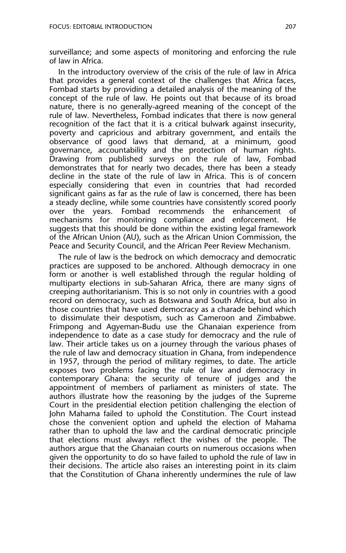surveillance; and some aspects of monitoring and enforcing the rule of law in Africa.

In the introductory overview of the crisis of the rule of law in Africa that provides a general context of the challenges that Africa faces, Fombad starts by providing a detailed analysis of the meaning of the concept of the rule of law. He points out that because of its broad nature, there is no generally-agreed meaning of the concept of the rule of law. Nevertheless, Fombad indicates that there is now general recognition of the fact that it is a critical bulwark against insecurity, poverty and capricious and arbitrary government, and entails the observance of good laws that demand, at a minimum, good governance, accountability and the protection of human rights. Drawing from published surveys on the rule of law, Fombad demonstrates that for nearly two decades, there has been a steady decline in the state of the rule of law in Africa. This is of concern especially considering that even in countries that had recorded significant gains as far as the rule of law is concerned, there has been a steady decline, while some countries have consistently scored poorly over the years. Fombad recommends the enhancement of mechanisms for monitoring compliance and enforcement. He suggests that this should be done within the existing legal framework of the African Union (AU), such as the African Union Commission, the Peace and Security Council, and the African Peer Review Mechanism.

The rule of law is the bedrock on which democracy and democratic practices are supposed to be anchored. Although democracy in one form or another is well established through the regular holding of multiparty elections in sub-Saharan Africa, there are many signs of creeping authoritarianism. This is so not only in countries with a good record on democracy, such as Botswana and South Africa, but also in those countries that have used democracy as a charade behind which to dissimulate their despotism, such as Cameroon and Zimbabwe. Frimpong and Agyeman-Budu use the Ghanaian experience from independence to date as a case study for democracy and the rule of law. Their article takes us on a journey through the various phases of the rule of law and democracy situation in Ghana, from independence in 1957, through the period of military regimes, to date. The article exposes two problems facing the rule of law and democracy in contemporary Ghana: the security of tenure of judges and the appointment of members of parliament as ministers of state. The authors illustrate how the reasoning by the judges of the Supreme Court in the presidential election petition challenging the election of John Mahama failed to uphold the Constitution. The Court instead chose the convenient option and upheld the election of Mahama rather than to uphold the law and the cardinal democratic principle that elections must always reflect the wishes of the people. The authors argue that the Ghanaian courts on numerous occasions when given the opportunity to do so have failed to uphold the rule of law in their decisions. The article also raises an interesting point in its claim that the Constitution of Ghana inherently undermines the rule of law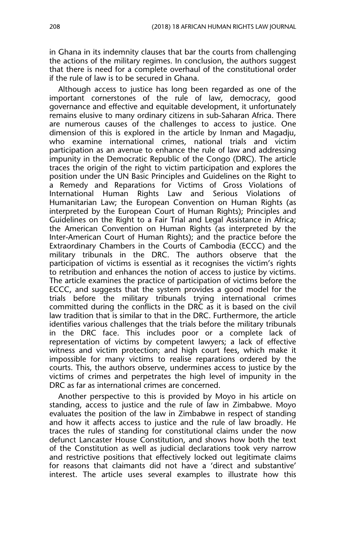in Ghana in its indemnity clauses that bar the courts from challenging the actions of the military regimes. In conclusion, the authors suggest that there is need for a complete overhaul of the constitutional order if the rule of law is to be secured in Ghana.

Although access to justice has long been regarded as one of the important cornerstones of the rule of law, democracy, good governance and effective and equitable development, it unfortunately remains elusive to many ordinary citizens in sub-Saharan Africa. There are numerous causes of the challenges to access to justice. One dimension of this is explored in the article by Inman and Magadju, who examine international crimes, national trials and victim participation as an avenue to enhance the rule of law and addressing impunity in the Democratic Republic of the Congo (DRC). The article traces the origin of the right to victim participation and explores the position under the UN Basic Principles and Guidelines on the Right to a Remedy and Reparations for Victims of Gross Violations of International Human Rights Law and Serious Violations of Humanitarian Law; the European Convention on Human Rights (as interpreted by the European Court of Human Rights); Principles and Guidelines on the Right to a Fair Trial and Legal Assistance in Africa; the American Convention on Human Rights (as interpreted by the Inter-American Court of Human Rights); and the practice before the Extraordinary Chambers in the Courts of Cambodia (ECCC) and the military tribunals in the DRC. The authors observe that the participation of victims is essential as it recognises the victim's rights to retribution and enhances the notion of access to justice by victims. The article examines the practice of participation of victims before the ECCC, and suggests that the system provides a good model for the trials before the military tribunals trying international crimes committed during the conflicts in the DRC as it is based on the civil law tradition that is similar to that in the DRC. Furthermore, the article identifies various challenges that the trials before the military tribunals in the DRC face. This includes poor or a complete lack of representation of victims by competent lawyers; a lack of effective witness and victim protection; and high court fees, which make it impossible for many victims to realise reparations ordered by the courts. This, the authors observe, undermines access to justice by the victims of crimes and perpetrates the high level of impunity in the DRC as far as international crimes are concerned.

Another perspective to this is provided by Moyo in his article on standing, access to justice and the rule of law in Zimbabwe. Moyo evaluates the position of the law in Zimbabwe in respect of standing and how it affects access to justice and the rule of law broadly. He traces the rules of standing for constitutional claims under the now defunct Lancaster House Constitution, and shows how both the text of the Constitution as well as judicial declarations took very narrow and restrictive positions that effectively locked out legitimate claims for reasons that claimants did not have a 'direct and substantive' interest. The article uses several examples to illustrate how this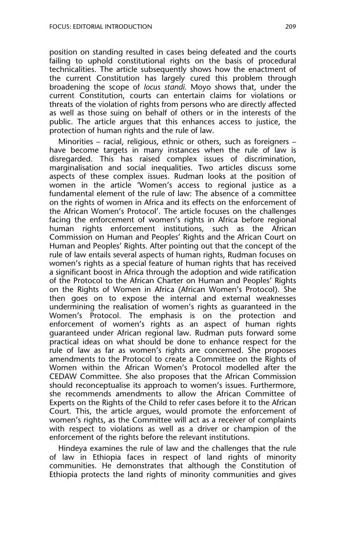position on standing resulted in cases being defeated and the courts failing to uphold constitutional rights on the basis of procedural technicalities. The article subsequently shows how the enactment of the current Constitution has largely cured this problem through broadening the scope of *locus standi.* Moyo shows that, under the current Constitution, courts can entertain claims for violations or threats of the violation of rights from persons who are directly affected as well as those suing on behalf of others or in the interests of the public. The article argues that this enhances access to justice, the protection of human rights and the rule of law.

Minorities – racial, religious, ethnic or others, such as foreigners – have become targets in many instances when the rule of law is disregarded. This has raised complex issues of discrimination, marginalisation and social inequalities. Two articles discuss some aspects of these complex issues. Rudman looks at the position of women in the article 'Women's access to regional justice as a fundamental element of the rule of law: The absence of a committee on the rights of women in Africa and its effects on the enforcement of the African Women's Protocol'. The article focuses on the challenges facing the enforcement of women's rights in Africa before regional human rights enforcement institutions, such as the African Commission on Human and Peoples' Rights and the African Court on Human and Peoples' Rights. After pointing out that the concept of the rule of law entails several aspects of human rights, Rudman focuses on women's rights as a special feature of human rights that has received a significant boost in Africa through the adoption and wide ratification of the Protocol to the African Charter on Human and Peoples' Rights on the Rights of Women in Africa (African Women's Protocol). She then goes on to expose the internal and external weaknesses undermining the realisation of women's rights as guaranteed in the Women's Protocol. The emphasis is on the protection and enforcement of women's rights as an aspect of human rights guaranteed under African regional law. Rudman puts forward some practical ideas on what should be done to enhance respect for the rule of law as far as women's rights are concerned. She proposes amendments to the Protocol to create a Committee on the Rights of Women within the African Women's Protocol modelled after the CEDAW Committee. She also proposes that the African Commission should reconceptualise its approach to women's issues. Furthermore, she recommends amendments to allow the African Committee of Experts on the Rights of the Child to refer cases before it to the African Court. This, the article argues, would promote the enforcement of women's rights, as the Committee will act as a receiver of complaints with respect to violations as well as a driver or champion of the enforcement of the rights before the relevant institutions.

Hindeya examines the rule of law and the challenges that the rule of law in Ethiopia faces in respect of land rights of minority communities. He demonstrates that although the Constitution of Ethiopia protects the land rights of minority communities and gives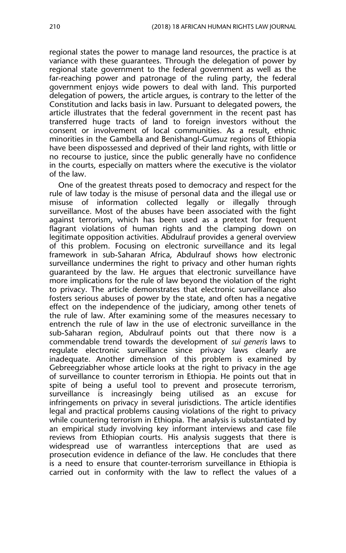regional states the power to manage land resources, the practice is at variance with these guarantees. Through the delegation of power by regional state government to the federal government as well as the far-reaching power and patronage of the ruling party, the federal government enjoys wide powers to deal with land. This purported delegation of powers, the article argues, is contrary to the letter of the Constitution and lacks basis in law. Pursuant to delegated powers, the article illustrates that the federal government in the recent past has transferred huge tracts of land to foreign investors without the consent or involvement of local communities. As a result, ethnic minorities in the Gambella and Benishangl-Gumuz regions of Ethiopia have been dispossessed and deprived of their land rights, with little or no recourse to justice, since the public generally have no confidence in the courts, especially on matters where the executive is the violator of the law.

One of the greatest threats posed to democracy and respect for the rule of law today is the misuse of personal data and the illegal use or misuse of information collected legally or illegally through surveillance. Most of the abuses have been associated with the fight against terrorism, which has been used as a pretext for frequent flagrant violations of human rights and the clamping down on legitimate opposition activities. Abdulrauf provides a general overview of this problem. Focusing on electronic surveillance and its legal framework in sub-Saharan Africa, Abdulrauf shows how electronic surveillance undermines the right to privacy and other human rights guaranteed by the law. He argues that electronic surveillance have more implications for the rule of law beyond the violation of the right to privacy. The article demonstrates that electronic surveillance also fosters serious abuses of power by the state, and often has a negative effect on the independence of the judiciary, among other tenets of the rule of law. After examining some of the measures necessary to entrench the rule of law in the use of electronic surveillance in the sub-Saharan region, Abdulrauf points out that there now is a commendable trend towards the development of *sui generis* laws to regulate electronic surveillance since privacy laws clearly are inadequate. Another dimension of this problem is examined by Gebreegziabher whose article looks at the right to privacy in the age of surveillance to counter terrorism in Ethiopia. He points out that in spite of being a useful tool to prevent and prosecute terrorism, surveillance is increasingly being utilised as an excuse for infringements on privacy in several jurisdictions. The article identifies legal and practical problems causing violations of the right to privacy while countering terrorism in Ethiopia. The analysis is substantiated by an empirical study involving key informant interviews and case file reviews from Ethiopian courts. His analysis suggests that there is widespread use of warrantless interceptions that are used as prosecution evidence in defiance of the law. He concludes that there is a need to ensure that counter-terrorism surveillance in Ethiopia is carried out in conformity with the law to reflect the values of a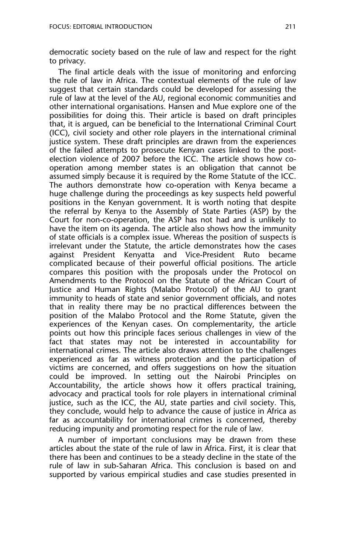democratic society based on the rule of law and respect for the right to privacy.

The final article deals with the issue of monitoring and enforcing the rule of law in Africa. The contextual elements of the rule of law suggest that certain standards could be developed for assessing the rule of law at the level of the AU, regional economic communities and other international organisations. Hansen and Mue explore one of the possibilities for doing this. Their article is based on draft principles that, it is argued, can be beneficial to the International Criminal Court (ICC), civil society and other role players in the international criminal justice system. These draft principles are drawn from the experiences of the failed attempts to prosecute Kenyan cases linked to the postelection violence of 2007 before the ICC. The article shows how cooperation among member states is an obligation that cannot be assumed simply because it is required by the Rome Statute of the ICC. The authors demonstrate how co-operation with Kenya became a huge challenge during the proceedings as key suspects held powerful positions in the Kenyan government. It is worth noting that despite the referral by Kenya to the Assembly of State Parties (ASP) by the Court for non-co-operation, the ASP has not had and is unlikely to have the item on its agenda. The article also shows how the immunity of state officials is a complex issue. Whereas the position of suspects is irrelevant under the Statute, the article demonstrates how the cases against President Kenyatta and Vice-President Ruto became complicated because of their powerful official positions. The article compares this position with the proposals under the Protocol on Amendments to the Protocol on the Statute of the African Court of Justice and Human Rights (Malabo Protocol) of the AU to grant immunity to heads of state and senior government officials, and notes that in reality there may be no practical differences between the position of the Malabo Protocol and the Rome Statute, given the experiences of the Kenyan cases. On complementarity, the article points out how this principle faces serious challenges in view of the fact that states may not be interested in accountability for international crimes. The article also draws attention to the challenges experienced as far as witness protection and the participation of victims are concerned, and offers suggestions on how the situation could be improved. In setting out the Nairobi Principles on Accountability, the article shows how it offers practical training, advocacy and practical tools for role players in international criminal justice, such as the ICC, the AU, state parties and civil society. This, they conclude, would help to advance the cause of justice in Africa as far as accountability for international crimes is concerned, thereby reducing impunity and promoting respect for the rule of law.

A number of important conclusions may be drawn from these articles about the state of the rule of law in Africa. First, it is clear that there has been and continues to be a steady decline in the state of the rule of law in sub-Saharan Africa. This conclusion is based on and supported by various empirical studies and case studies presented in